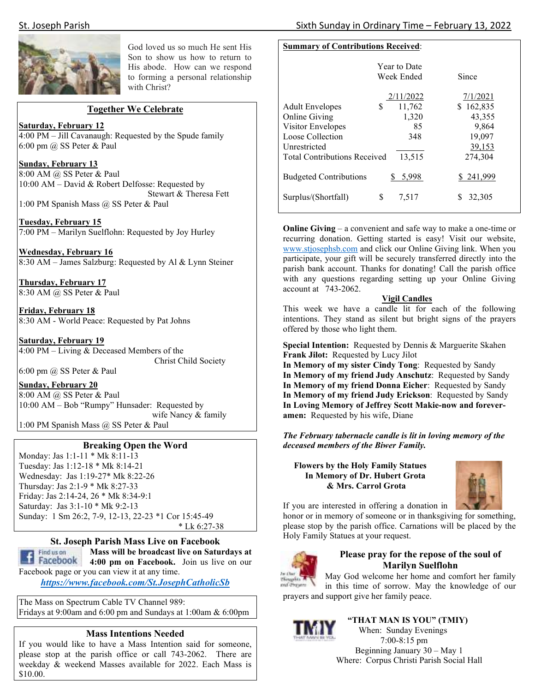

God loved us so much He sent His Son to show us how to return to His abode. How can we respond to forming a personal relationship with Christ?

#### **Together We Celebrate**

## **Saturday, February 12**

4:00 PM – Jill Cavanaugh: Requested by the Spude family 6:00 pm @ SS Peter & Paul

#### **Sunday, February 13**

8:00 AM @ SS Peter & Paul 10:00 AM – David & Robert Delfosse: Requested by Stewart & Theresa Fett 1:00 PM Spanish Mass @ SS Peter & Paul

**Tuesday, February 15**  7:00 PM – Marilyn Suelflohn: Requested by Joy Hurley

**Wednesday, February 16**  8:30 AM – James Salzburg: Requested by Al & Lynn Steiner

**Thursday, February 17**  8:30 AM @ SS Peter & Paul

**Friday, February 18**  8:30 AM - World Peace: Requested by Pat Johns

**Saturday, February 19**  4:00 PM – Living & Deceased Members of the Christ Child Society

6:00 pm  $(a)$  SS Peter & Paul

**Sunday, February 20**  8:00 AM @ SS Peter & Paul 10:00 AM – Bob "Rumpy" Hunsader: Requested by wife Nancy & family 1:00 PM Spanish Mass @ SS Peter & Paul

#### **Breaking Open the Word**

Monday: Jas 1:1-11 \* Mk 8:11-13 Tuesday: Jas 1:12-18 \* Mk 8:14-21 Wednesday: Jas 1:19-27\* Mk 8:22-26 Thursday: Jas 2:1-9 \* Mk 8:27-33 Friday: Jas 2:14-24, 26 \* Mk 8:34-9:1 Saturday: Jas 3:1-10 \* Mk 9:2-13 Sunday: 1 Sm 26:2, 7-9, 12-13, 22-23 \*1 Cor 15:45-49 \* Lk 6:27-38

#### **St. Joseph Parish Mass Live on Facebook**

Find us on

# **Mass will be broadcast live on Saturdays at**

**f Facebook 4:00 pm on Facebook.** Join us live on our Facebook page or you can view it at any time.

*https://www.facebook.com/St.JosephCatholicSb* 

The Mass on Spectrum Cable TV Channel 989: Fridays at 9:00am and 6:00 pm and Sundays at 1:00am & 6:00pm

## **Mass Intentions Needed**

If you would like to have a Mass Intention said for someone, please stop at the parish office or call 743-2062. There are weekday & weekend Masses available for 2022. Each Mass is \$10.00.

# **Summary of Contributions Received**:

|                                     | <b>Year to Date</b><br>Week Ended | Since     |
|-------------------------------------|-----------------------------------|-----------|
|                                     | 2/11/2022                         | 7/1/2021  |
| S<br><b>Adult Envelopes</b>         | 11,762                            | \$162,835 |
| <b>Online Giving</b>                | 1,320                             | 43,355    |
| Visitor Envelopes                   | 85                                | 9,864     |
| Loose Collection                    | 348                               | 19,097    |
| Unrestricted                        |                                   | 39,153    |
| <b>Total Contributions Received</b> | 13,515                            | 274,304   |
| <b>Budgeted Contributions</b>       | 5,998                             | \$241,999 |
| S<br>Surplus/(Shortfall)            | 7,517                             | 32,305    |

**Online Giving** – a convenient and safe way to make a one-time or recurring donation. Getting started is easy! Visit our website, www.stjosephsb.com and click our Online Giving link. When you participate, your gift will be securely transferred directly into the parish bank account. Thanks for donating! Call the parish office with any questions regarding setting up your Online Giving account at 743-2062.

#### **Vigil Candles**

This week we have a candle lit for each of the following intentions. They stand as silent but bright signs of the prayers offered by those who light them.

**Special Intention:** Requested by Dennis & Marguerite Skahen **Frank Jilot:** Requested by Lucy Jilot

**In Memory of my sister Cindy Tong**: Requested by Sandy **In Memory of my friend Judy Anschutz**: Requested by Sandy **In Memory of my friend Donna Eicher**: Requested by Sandy **In Memory of my friend Judy Erickson**: Requested by Sandy **In Loving Memory of Jeffrey Scott Makie-now and foreveramen:** Requested by his wife, Diane

*The February tabernacle candle is lit in loving memory of the deceased members of the Biwer Family.* 

#### **Flowers by the Holy Family Statues In Memory of Dr. Hubert Grota & Mrs. Carrol Grota**



If you are interested in offering a donation in

honor or in memory of someone or in thanksgiving for something, please stop by the parish office. Carnations will be placed by the Holy Family Statues at your request.



#### **Please pray for the repose of the soul of Marilyn Suelflohn**

May God welcome her home and comfort her family  $M$  and applies  $\int$ in this time of sorrow. May the knowledge of our prayers and support give her family peace.



 **"THAT MAN IS YOU" (TMIY)**  When: Sunday Evenings 7:00-8:15 pm Beginning January 30 – May 1 Where: Corpus Christi Parish Social Hall